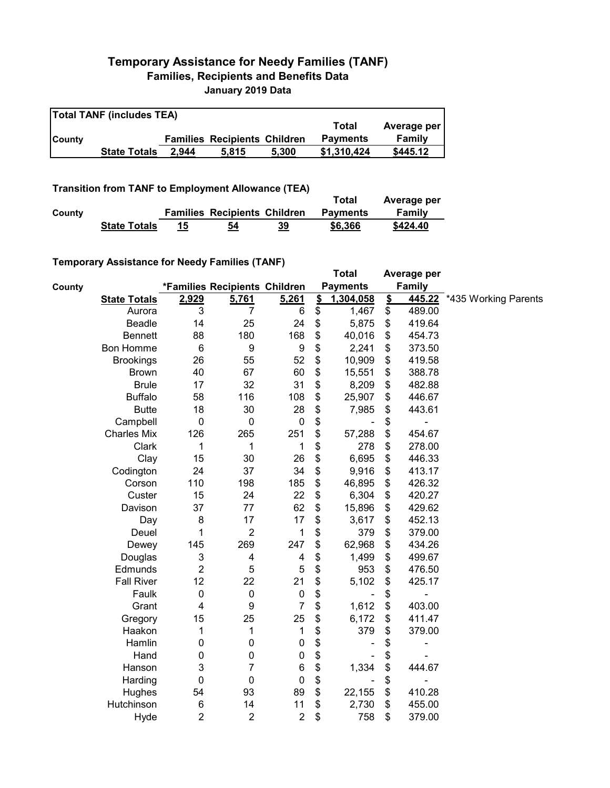## **Temporary Assistance for Needy Families (TANF) Families, Recipients and Benefits Data January 2019 Data**

| <b>Total TANF (includes TEA)</b> |                     |       |                                     |       |                 |             |  |  |  |
|----------------------------------|---------------------|-------|-------------------------------------|-------|-----------------|-------------|--|--|--|
|                                  |                     |       |                                     |       | Total           | Average per |  |  |  |
| <b>County</b>                    |                     |       | <b>Families Recipients Children</b> |       | <b>Payments</b> | Family      |  |  |  |
|                                  | <b>State Totals</b> | 2.944 | 5.815                               | 5.300 | \$1.310.424     | \$445.12    |  |  |  |

**Transition from TANF to Employment Allowance (TEA)**

|        |                     |    |                                     |    | Total           | Average per |
|--------|---------------------|----|-------------------------------------|----|-----------------|-------------|
| County |                     |    | <b>Families Recipients Children</b> |    | <b>Pavments</b> | Family      |
|        | <b>State Totals</b> | 15 | 54                                  | 39 | \$6,366         | \$424.40    |

## **Temporary Assistance for Needy Families (TANF)**

|        | $\frac{1}{2}$       |                |                               |                  |                           | <b>Total</b>    |                         | Average per   |                      |
|--------|---------------------|----------------|-------------------------------|------------------|---------------------------|-----------------|-------------------------|---------------|----------------------|
| County |                     |                | *Families Recipients Children |                  |                           | <b>Payments</b> |                         | <b>Family</b> |                      |
|        | <b>State Totals</b> | 2,929          | 5,761                         | 5,261            | $\mathbf{\underline{\$}}$ | 1,304,058       | $\mathbf{\mathfrak{L}}$ | 445.22        | *435 Working Parents |
|        | Aurora              | 3              | 7                             | 6                | \$                        | 1,467           | \$                      | 489.00        |                      |
|        | Beadle              | 14             | 25                            | 24               | \$                        | 5,875           | \$                      | 419.64        |                      |
|        | <b>Bennett</b>      | 88             | 180                           | 168              | \$                        | 40,016          | \$                      | 454.73        |                      |
|        | <b>Bon Homme</b>    | 6              | 9                             | 9                | \$                        | 2,241           | \$                      | 373.50        |                      |
|        | <b>Brookings</b>    | 26             | 55                            | 52               | \$                        | 10,909          | \$                      | 419.58        |                      |
|        | <b>Brown</b>        | 40             | 67                            | 60               | \$                        | 15,551          | \$                      | 388.78        |                      |
|        | <b>Brule</b>        | 17             | 32                            | 31               | \$                        | 8,209           | \$                      | 482.88        |                      |
|        | <b>Buffalo</b>      | 58             | 116                           | 108              | \$                        | 25,907          | \$                      | 446.67        |                      |
|        | <b>Butte</b>        | 18             | 30                            | 28               | \$                        | 7,985           | \$                      | 443.61        |                      |
|        | Campbell            | 0              | $\pmb{0}$                     | $\pmb{0}$        | \$                        |                 | \$                      |               |                      |
|        | <b>Charles Mix</b>  | 126            | 265                           | 251              | \$                        | 57,288          | \$                      | 454.67        |                      |
|        | Clark               | 1              | 1                             | 1                | \$                        | 278             | \$                      | 278.00        |                      |
|        | Clay                | 15             | 30                            | 26               | \$                        | 6,695           | \$                      | 446.33        |                      |
|        | Codington           | 24             | 37                            | 34               | \$                        | 9,916           | \$                      | 413.17        |                      |
|        | Corson              | 110            | 198                           | 185              | \$                        | 46,895          | \$                      | 426.32        |                      |
|        | Custer              | 15             | 24                            | 22               | \$                        | 6,304           | \$                      | 420.27        |                      |
|        | Davison             | 37             | 77                            | 62               | \$                        | 15,896          | \$                      | 429.62        |                      |
|        | Day                 | 8              | 17                            | 17               | \$                        | 3,617           | \$                      | 452.13        |                      |
|        | Deuel               | 1              | $\overline{2}$                | 1                | \$                        | 379             | \$                      | 379.00        |                      |
|        | Dewey               | 145            | 269                           | 247              | \$                        | 62,968          | \$                      | 434.26        |                      |
|        | Douglas             | 3              | 4                             | 4                | \$                        | 1,499           | \$                      | 499.67        |                      |
|        | Edmunds             | $\overline{2}$ | 5                             | 5                | \$                        | 953             | \$                      | 476.50        |                      |
|        | <b>Fall River</b>   | 12             | 22                            | 21               | \$                        | 5,102           | \$                      | 425.17        |                      |
|        | Faulk               | 0              | $\pmb{0}$                     | $\pmb{0}$        | \$                        |                 | \$                      |               |                      |
|        | Grant               | 4              | 9                             | $\overline{7}$   | \$                        | 1,612           | \$                      | 403.00        |                      |
|        | Gregory             | 15             | 25                            | 25               | \$                        | 6,172           | \$                      | 411.47        |                      |
|        | Haakon              | 1              | 1                             | 1                | \$                        | 379             | \$                      | 379.00        |                      |
|        | Hamlin              | 0              | 0                             | $\pmb{0}$        | \$                        |                 | \$                      |               |                      |
|        | Hand                | 0              | 0                             | $\pmb{0}$        | \$                        |                 | \$                      |               |                      |
|        | Hanson              | 3              | 7                             | $\,6$            | \$                        | 1,334           | \$                      | 444.67        |                      |
|        | Harding             | 0              | $\mathbf 0$                   | $\mathbf 0$      | \$                        |                 | \$                      |               |                      |
|        | Hughes              | 54             | 93                            | 89               | \$                        | 22,155          | \$                      | 410.28        |                      |
|        | Hutchinson          | 6              | 14                            | 11               | \$                        | 2,730           | \$                      | 455.00        |                      |
|        | Hyde                | $\overline{2}$ | $\boldsymbol{2}$              | $\boldsymbol{2}$ | \$                        | 758             | \$                      | 379.00        |                      |